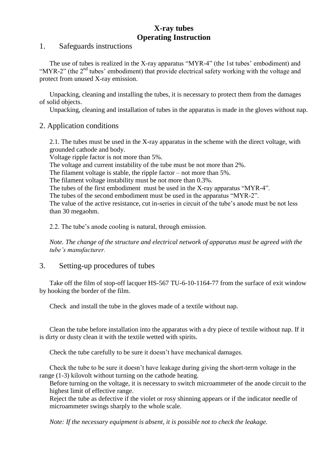## **X-ray tubes Operating Instruction**

#### 1. Safeguards instructions

The use of tubes is realized in the X-ray apparatus "MYR-4" (the 1st tubes' embodiment) and "MYR-2" (the  $2<sup>nd</sup>$  tubes' embodiment) that provide electrical safety working with the voltage and protect from unused X-ray emission.

Unpacking, cleaning and installing the tubes, it is necessary to protect them from the damages of solid objects.

Unpacking, cleaning and installation of tubes in the apparatus is made in the gloves without nap.

## 2. Application conditions

2.1. The tubes must be used in the X-ray apparatus in the scheme with the direct voltage, with grounded cathode and body.

Voltage ripple factor is not more than 5%.

The voltage and current instability of the tube must be not more than 2%.

The filament voltage is stable, the ripple factor – not more than 5%.

The filament voltage instability must be not more than 0.3%.

The tubes of the first embodiment must be used in the X-ray apparatus "MYR-4".

The tubes of the second embodiment must be used in the apparatus "MYR-2".

The value of the active resistance, cut in-series in circuit of the tube's anode must be not less than 30 megaohm.

2.2. The tube's anode cooling is natural, through emission.

*Note. The change of the structure and electrical network of apparatus must be agreed with the tube's manufacturer.*

#### 3. Setting-up procedures of tubes

Take off the film of stop-off lacquer HS-567 TU-6-10-1164-77 from the surface of exit window by hooking the border of the film.

Check and install the tube in the gloves made of a textile without nap.

Clean the tube before installation into the apparatus with a dry piece of textile without nap. If it is dirty or dusty clean it with the textile wetted with spirits.

Check the tube carefully to be sure it doesn't have mechanical damages.

Check the tube to be sure it doesn't have leakage during giving the short-term voltage in the range (1-3) kilovolt without turning on the cathode heating.

Before turning on the voltage, it is necessary to switch microammeter of the anode circuit to the highest limit of effective range.

Reject the tube as defective if the violet or rosy shinning appears or if the indicator needle of microammeter swings sharply to the whole scale.

*Note: If the necessary equipment is absent, it is possible not to check the leakage.*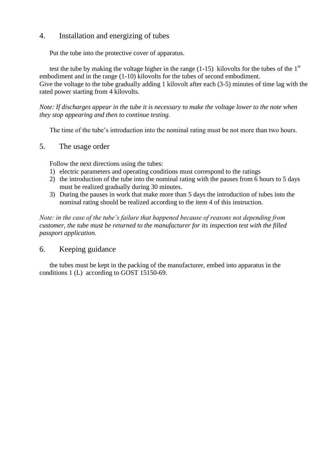## 4. Installation and energizing of tubes

Put the tube into the protective cover of apparatus.

test the tube by making the voltage higher in the range  $(1-15)$  kilovolts for the tubes of the 1<sup>st</sup> embodiment and in the range (1-10) kilovolts for the tubes of second embodiment. Give the voltage to the tube gradually adding 1 kilovolt after each (3-5) minutes of time lag with the rated power starting from 4 kilovolts.

*Note: If discharges appear in the tube it is necessary to make the voltage lower to the note when they stop appearing and then to continue testing.* 

The time of the tube's introduction into the nominal rating must be not more than two hours.

#### 5. The usage order

Follow the next directions using the tubes:

- 1) electric parameters and operating conditions must correspond to the ratings
- 2) the introduction of the tube into the nominal rating with the pauses from 6 hours to 5 days must be realized gradually during 30 minutes.
- 3) During the pauses in work that make more than 5 days the introduction of tubes into the nominal rating should be realized according to the item 4 of this instruction.

*Note: in the case of the tube's failure that happened because of reasons not depending from customer, the tube must be returned to the manufacturer for its inspection test with the filled passport application.* 

# 6. Keeping guidance

the tubes must be kept in the packing of the manufacturer, embed into apparatus in the conditions 1 (L) according to GOST 15150-69.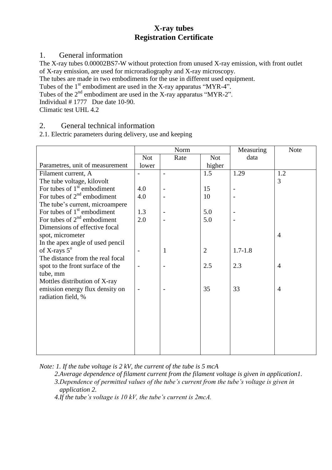# **X-ray tubes Registration Certificate**

## 1. General information

The X-ray tubes 0.00002BS7-W without protection from unused X-ray emission, with front outlet of X-ray emission, are used for microradiography and X-ray microscopy.

The tubes are made in two embodiments for the use in different used equipment.

Tubes of the  $1<sup>st</sup>$  embodiment are used in the X-ray apparatus "MYR-4".

Tubes of the 2<sup>nd</sup> embodiment are used in the X-ray apparatus "MYR-2".

Individual # 1777 Due date 10-90.

Climatic test UHL 4.2

# 2. General technical information

2.1. Electric parameters during delivery, use and keeping

|                                  | Norm                     |              |                | Measuring   | <b>Note</b>    |
|----------------------------------|--------------------------|--------------|----------------|-------------|----------------|
|                                  | <b>Not</b>               | Rate         | <b>Not</b>     | data        |                |
| Parametres, unit of measurement  | lower                    |              | higher         |             |                |
| Filament current, A              | $\overline{a}$           |              | 1.5            | 1.29        | 1.2            |
| The tube voltage, kilovolt       |                          |              |                |             | $\overline{3}$ |
| For tubes of $1st$ embodiment    | 4.0                      |              | 15             |             |                |
| For tubes of $2nd$ embodiment    | 4.0                      |              | 10             |             |                |
| The tube's current, microampere  |                          |              |                |             |                |
| For tubes of $1st$ embodiment    | 1.3                      |              | 5.0            |             |                |
| For tubes of $2nd$ embodiment    | 2.0                      |              | 5.0            |             |                |
| Dimensions of effective focal    |                          |              |                |             |                |
| spot, micrometer                 |                          |              |                |             | $\overline{4}$ |
| In the apex angle of used pencil |                          |              |                |             |                |
| of X-rays $5^{\circ}$            |                          | $\mathbf{1}$ | $\overline{2}$ | $1.7 - 1.8$ |                |
| The distance from the real focal |                          |              |                |             |                |
| spot to the front surface of the |                          |              | 2.5            | 2.3         | $\overline{4}$ |
| tube, mm                         |                          |              |                |             |                |
| Mottles distribution of X-ray    |                          |              |                |             |                |
| emission energy flux density on  | $\overline{\phantom{0}}$ |              | 35             | 33          | $\overline{4}$ |
| radiation field, %               |                          |              |                |             |                |
|                                  |                          |              |                |             |                |
|                                  |                          |              |                |             |                |
|                                  |                          |              |                |             |                |
|                                  |                          |              |                |             |                |
|                                  |                          |              |                |             |                |
|                                  |                          |              |                |             |                |
|                                  |                          |              |                |             |                |

*Note: 1. If the tube voltage is 2 kV, the current of the tube is 5 mcA*

*2.Average dependence of filament current from the filament voltage is given in application1. 3.Dependence of permitted values of the tube's current from the tube's voltage is given in application 2.* 

*4.If the tube's voltage is 10 kV, the tube's current is 2mcA.*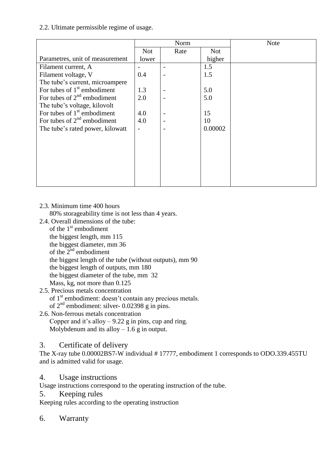### 2.2. Ultimate permissible regime of usage.

|                                  | Norm       |      |            | <b>Note</b> |
|----------------------------------|------------|------|------------|-------------|
|                                  | <b>Not</b> | Rate | <b>Not</b> |             |
| Parametres, unit of measurement  | lower      |      | higher     |             |
| Filament current, A              |            |      | 1.5        |             |
| Filament voltage, V              | 0.4        |      | 1.5        |             |
| The tube's current, microampere  |            |      |            |             |
| For tubes of $1st$ embodiment    | 1.3        |      | 5.0        |             |
| For tubes of $2nd$ embodiment    | 2.0        |      | 5.0        |             |
| The tube's voltage, kilovolt     |            |      |            |             |
| For tubes of $1st$ embodiment    | 4.0        |      | 15         |             |
| For tubes of $2nd$ embodiment    | 4.0        |      | 10         |             |
| The tube's rated power, kilowatt |            |      | 0.00002    |             |
|                                  |            |      |            |             |
|                                  |            |      |            |             |
|                                  |            |      |            |             |
|                                  |            |      |            |             |
|                                  |            |      |            |             |
|                                  |            |      |            |             |
|                                  |            |      |            |             |

#### 2.3. Minimum time 400 hours

80% storageability time is not less than 4 years.

- 2.4. Overall dimensions of the tube:
	- of the  $1<sup>st</sup>$  embodiment the biggest length, mm 115 the biggest diameter, mm 36 of the  $2^{nd}$  embodiment the biggest length of the tube (without outputs), mm 90 the biggest length of outputs, mm 180 the biggest diameter of the tube, mm 32 Mass, kg, not more than 0.125

## 2.5. Precious metals concentration

of 1<sup>st</sup> embodiment: doesn't contain any precious metals.

of  $2<sup>nd</sup>$  embodiment: silver- 0.02398 g in pins.

- 2.6. Non-ferrous metals concentration
	- Copper and it's alloy  $-9.22$  g in pins, cup and ring. Molybdenum and its alloy  $-1.6$  g in output.

## 3. Certificate of delivery

The X-ray tube 0.00002BS7-W individual # 17777, embodiment 1 corresponds to ODO.339.455TU and is admitted valid for usage.

## 4. Usage instructions

Usage instructions correspond to the operating instruction of the tube.

5. Keeping rules

Keeping rules according to the operating instruction

## 6. Warranty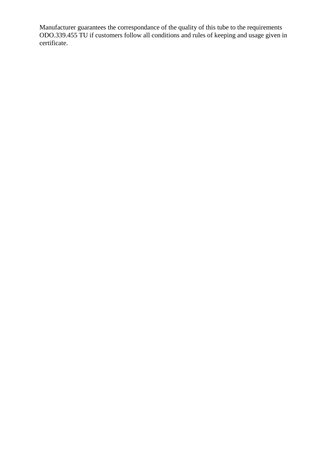Manufacturer guarantees the correspondance of the quality of this tube to the requirements ODO.339.455 TU if customers follow all conditions and rules of keeping and usage given in certificate.